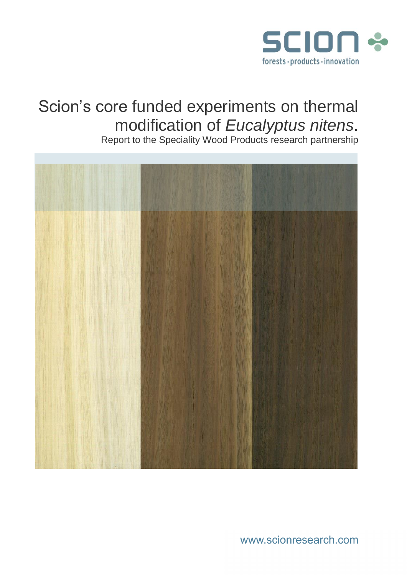

# Scion's core funded experiments on thermal modification of *Eucalyptus nitens*.

Report to the Speciality Wood Products research partnership



www.scionresearch.com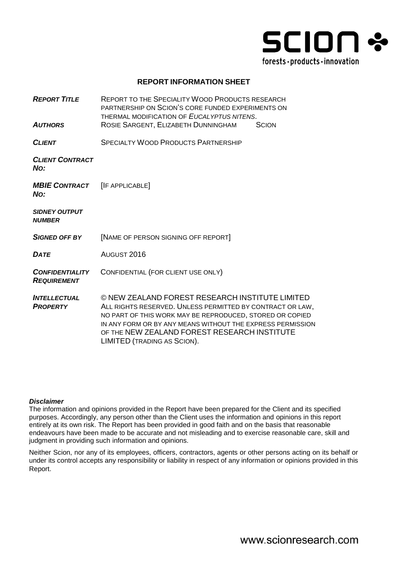

#### **REPORT INFORMATION SHEET**

*REPORT TITLE* REPORT TO THE SPECIALITY WOOD PRODUCTS RESEARCH PARTNERSHIP ON SCION'S CORE FUNDED EXPERIMENTS ON THERMAL MODIFICATION OF *EUCALYPTUS NITENS*. *AUTHORS* ROSIE SARGENT, ELIZABETH DUNNINGHAM SCION *CLIENT* SPECIALTY WOOD PRODUCTS PARTNERSHIP *CLIENT CONTRACT NO: MBIE CONTRACT NO:* [IF APPLICABLE] *SIDNEY OUTPUT NUMBER SIGNED OFF BY* [NAME OF PERSON SIGNING OFF REPORT] *DATE* AUGUST 2016 *CONFIDENTIALITY REQUIREMENT* CONFIDENTIAL (FOR CLIENT USE ONLY) *INTELLECTUAL PROPERTY* © NEW ZEALAND FOREST RESEARCH INSTITUTE LIMITED ALL RIGHTS RESERVED. UNLESS PERMITTED BY CONTRACT OR LAW, NO PART OF THIS WORK MAY BE REPRODUCED, STORED OR COPIED IN ANY FORM OR BY ANY MEANS WITHOUT THE EXPRESS PERMISSION OF THE NEW ZEALAND FOREST RESEARCH INSTITUTE LIMITED (TRADING AS SCION).

#### *Disclaimer*

The information and opinions provided in the Report have been prepared for the Client and its specified purposes. Accordingly, any person other than the Client uses the information and opinions in this report entirely at its own risk. The Report has been provided in good faith and on the basis that reasonable endeavours have been made to be accurate and not misleading and to exercise reasonable care, skill and judgment in providing such information and opinions.

Neither Scion, nor any of its employees, officers, contractors, agents or other persons acting on its behalf or under its control accepts any responsibility or liability in respect of any information or opinions provided in this Report.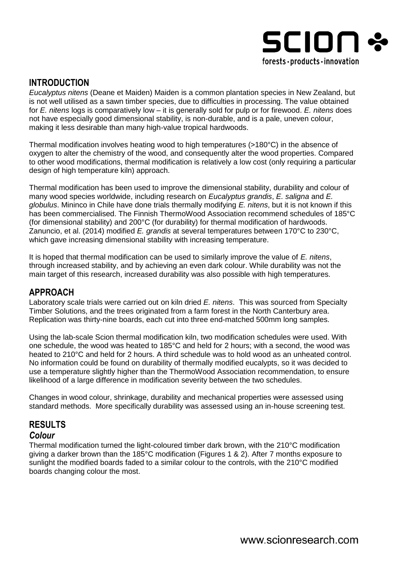

# **INTRODUCTION**

*Eucalyptus nitens* (Deane et Maiden) Maiden is a common plantation species in New Zealand, but is not well utilised as a sawn timber species, due to difficulties in processing. The value obtained for *E. nitens* logs is comparatively low – it is generally sold for pulp or for firewood. *E. nitens* does not have especially good dimensional stability, is non-durable, and is a pale, uneven colour, making it less desirable than many high-value tropical hardwoods.

Thermal modification involves heating wood to high temperatures (>180°C) in the absence of oxygen to alter the chemistry of the wood, and consequently alter the wood properties. Compared to other wood modifications, thermal modification is relatively a low cost (only requiring a particular design of high temperature kiln) approach.

Thermal modification has been used to improve the dimensional stability, durability and colour of many wood species worldwide, including research on *Eucalyptus grandis*, *E. saligna* and *E. globulus*. Mininco in Chile have done trials thermally modifying *E. nitens*, but it is not known if this has been commercialised. The Finnish ThermoWood Association recommend schedules of 185°C (for dimensional stability) and 200°C (for durability) for thermal modification of hardwoods. Zanuncio, et al. (2014) modified *E. grandis* at several temperatures between 170°C to 230°C, which gave increasing dimensional stability with increasing temperature.

It is hoped that thermal modification can be used to similarly improve the value of *E. nitens*, through increased stability, and by achieving an even dark colour. While durability was not the main target of this research, increased durability was also possible with high temperatures.

## **APPROACH**

Laboratory scale trials were carried out on kiln dried *E. nitens*. This was sourced from Specialty Timber Solutions, and the trees originated from a farm forest in the North Canterbury area. Replication was thirty-nine boards, each cut into three end-matched 500mm long samples.

Using the lab-scale Scion thermal modification kiln, two modification schedules were used. With one schedule, the wood was heated to 185°C and held for 2 hours; with a second, the wood was heated to 210°C and held for 2 hours. A third schedule was to hold wood as an unheated control. No information could be found on durability of thermally modified eucalypts, so it was decided to use a temperature slightly higher than the ThermoWood Association recommendation, to ensure likelihood of a large difference in modification severity between the two schedules.

Changes in wood colour, shrinkage, durability and mechanical properties were assessed using standard methods. More specifically durability was assessed using an in-house screening test.

## **RESULTS** *Colour*

Thermal modification turned the light-coloured timber dark brown, with the 210°C modification giving a darker brown than the 185°C modification (Figures 1 & 2). After 7 months exposure to sunlight the modified boards faded to a similar colour to the controls, with the 210°C modified boards changing colour the most.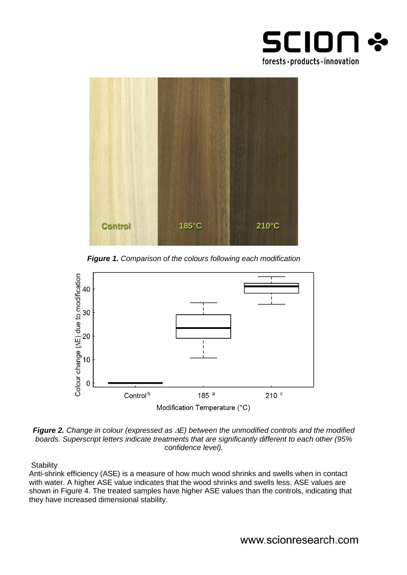



*Figure 1. Comparison of the colours following each modification*



*Figure 2. Change in colour (expressed as E) between the unmodified controls and the modified boards. Superscript letters indicate treatments that are significantly different to each other (95% confidence level).*

**Stability** 

Anti-shrink efficiency (ASE) is a measure of how much wood shrinks and swells when in contact with water. A higher ASE value indicates that the wood shrinks and swells less. ASE values are shown in Figure 4. The treated samples have higher ASE values than the controls, indicating that they have increased dimensional stability.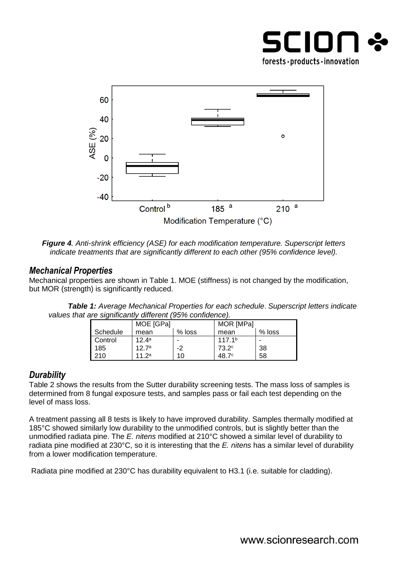



*Figure 4. Anti-shrink efficiency (ASE) for each modification temperature. Superscript letters indicate treatments that are significantly different to each other (95% confidence level).*

# *Mechanical Properties*

Mechanical properties are shown in Table 1. MOE (stiffness) is not changed by the modification, but MOR (strength) is significantly reduced.

|                                                           | <b>Table 1:</b> Average Mechanical Properties for each schedule. Superscript letters indicate |
|-----------------------------------------------------------|-----------------------------------------------------------------------------------------------|
| values that are significantly different (95% confidence). |                                                                                               |

|          | MOE [GPa] |          | MOR [MPa]          |          |
|----------|-----------|----------|--------------------|----------|
| Schedule | mean      | $%$ loss | mean               | $%$ loss |
| Control  | $12.4^a$  | -        | 117.1 <sup>b</sup> | -        |
| 185      | 12.7a     | -2       | 73.2 <sup>c</sup>  | 38       |
| 210      | 11 $2^a$  | 10       | 48.7 <sup>c</sup>  | 58       |

## *Durability*

Table 2 shows the results from the Sutter durability screening tests. The mass loss of samples is determined from 8 fungal exposure tests, and samples pass or fail each test depending on the level of mass loss.

A treatment passing all 8 tests is likely to have improved durability. Samples thermally modified at 185°C showed similarly low durability to the unmodified controls, but is slightly better than the unmodified radiata pine. The *E. nitens* modified at 210°C showed a similar level of durability to radiata pine modified at 230°C, so it is interesting that the *E. nitens* has a similar level of durability from a lower modification temperature.

Radiata pine modified at 230°C has durability equivalent to H3.1 (i.e. suitable for cladding).